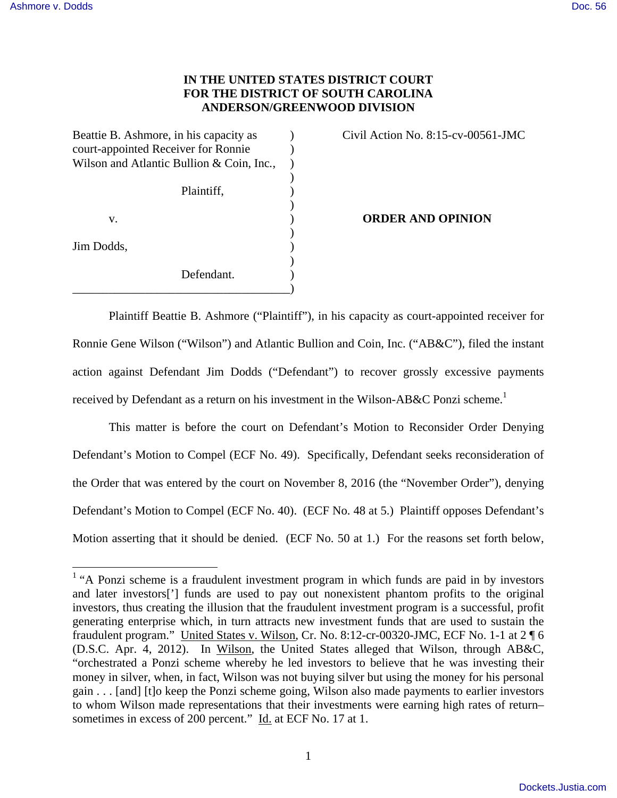## **IN THE UNITED STATES DISTRICT COURT FOR THE DISTRICT OF SOUTH CAROLINA ANDERSON/GREENWOOD DIVISION**

Beattie B. Ashmore, in his capacity as  $Civil$  Action No. 8:15-cv-00561-JMC court-appointed Receiver for Ronnie ) Wilson and Atlantic Bullion & Coin, Inc*.*, )  $)$ 

|    |  |  | $\epsilon$               |
|----|--|--|--------------------------|
|    |  |  | $\overline{\phantom{a}}$ |
| V. |  |  | $\overline{\phantom{a}}$ |
|    |  |  |                          |

Jim Dodds, )

 $\overline{\phantom{a}}$ Defendant.

\_\_\_\_\_\_\_\_\_\_\_\_\_\_\_\_\_\_\_\_\_\_\_\_\_\_\_\_\_\_\_\_\_\_\_\_)

Plaintiff,  $\qquad \qquad$ )

v. ) **ORDER AND OPINION** 

Plaintiff Beattie B. Ashmore ("Plaintiff"), in his capacity as court-appointed receiver for Ronnie Gene Wilson ("Wilson") and Atlantic Bullion and Coin, Inc. ("AB&C"), filed the instant action against Defendant Jim Dodds ("Defendant") to recover grossly excessive payments received by Defendant as a return on his investment in the Wilson-AB&C Ponzi scheme.<sup>1</sup>

This matter is before the court on Defendant's Motion to Reconsider Order Denying Defendant's Motion to Compel (ECF No. 49). Specifically, Defendant seeks reconsideration of the Order that was entered by the court on November 8, 2016 (the "November Order"), denying Defendant's Motion to Compel (ECF No. 40). (ECF No. 48 at 5.) Plaintiff opposes Defendant's Motion asserting that it should be denied. (ECF No. 50 at 1.) For the reasons set forth below,

<sup>&</sup>lt;sup>1</sup> "A Ponzi scheme is a fraudulent investment program in which funds are paid in by investors and later investors['] funds are used to pay out nonexistent phantom profits to the original investors, thus creating the illusion that the fraudulent investment program is a successful, profit generating enterprise which, in turn attracts new investment funds that are used to sustain the fraudulent program." United States v. Wilson, Cr. No. 8:12-cr-00320-JMC, ECF No. 1-1 at 2 ¶ 6 (D.S.C. Apr. 4, 2012). In Wilson, the United States alleged that Wilson, through AB&C, "orchestrated a Ponzi scheme whereby he led investors to believe that he was investing their money in silver, when, in fact, Wilson was not buying silver but using the money for his personal gain . . . [and] [t]o keep the Ponzi scheme going, Wilson also made payments to earlier investors to whom Wilson made representations that their investments were earning high rates of return– sometimes in excess of 200 percent." Id. at ECF No. 17 at 1.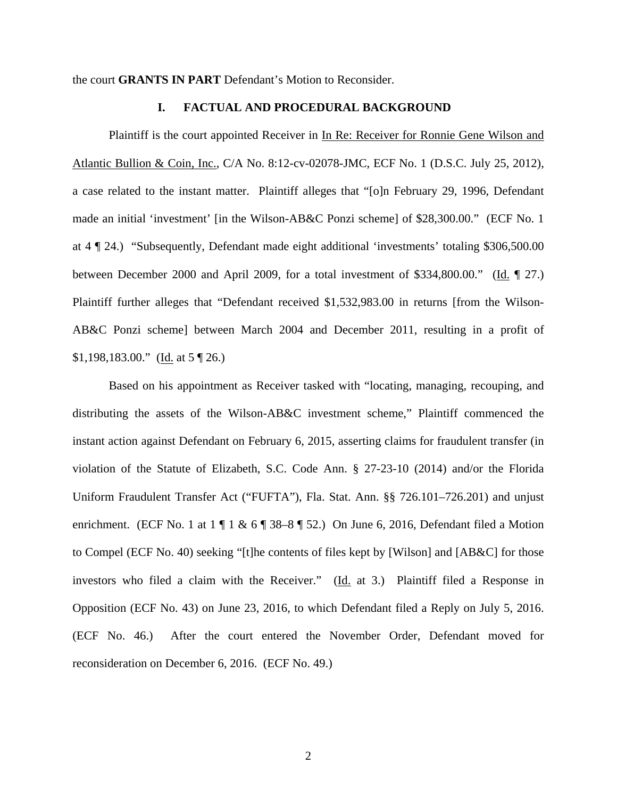the court **GRANTS IN PART** Defendant's Motion to Reconsider.

## **I. FACTUAL AND PROCEDURAL BACKGROUND**

Plaintiff is the court appointed Receiver in In Re: Receiver for Ronnie Gene Wilson and Atlantic Bullion & Coin, Inc., C/A No. 8:12-cv-02078-JMC, ECF No. 1 (D.S.C. July 25, 2012), a case related to the instant matter. Plaintiff alleges that "[o]n February 29, 1996, Defendant made an initial 'investment' [in the Wilson-AB&C Ponzi scheme] of \$28,300.00." (ECF No. 1 at 4 ¶ 24.) "Subsequently, Defendant made eight additional 'investments' totaling \$306,500.00 between December 2000 and April 2009, for a total investment of \$334,800.00." (Id. ¶ 27.) Plaintiff further alleges that "Defendant received \$1,532,983.00 in returns [from the Wilson-AB&C Ponzi scheme] between March 2004 and December 2011, resulting in a profit of \$1,198,183.00." (Id. at  $5 \sqrt{26}$ .)

Based on his appointment as Receiver tasked with "locating, managing, recouping, and distributing the assets of the Wilson-AB&C investment scheme," Plaintiff commenced the instant action against Defendant on February 6, 2015, asserting claims for fraudulent transfer (in violation of the Statute of Elizabeth, S.C. Code Ann. § 27-23-10 (2014) and/or the Florida Uniform Fraudulent Transfer Act ("FUFTA"), Fla. Stat. Ann. §§ 726.101–726.201) and unjust enrichment. (ECF No. 1 at  $1 \nparallel 1 \& 6 \nparallel 38-8 \nparallel 52$ .) On June 6, 2016, Defendant filed a Motion to Compel (ECF No. 40) seeking "[t]he contents of files kept by [Wilson] and [AB&C] for those investors who filed a claim with the Receiver."  $(Id. at 3.)$  Plaintiff filed a Response in Opposition (ECF No. 43) on June 23, 2016, to which Defendant filed a Reply on July 5, 2016. (ECF No. 46.) After the court entered the November Order, Defendant moved for reconsideration on December 6, 2016. (ECF No. 49.)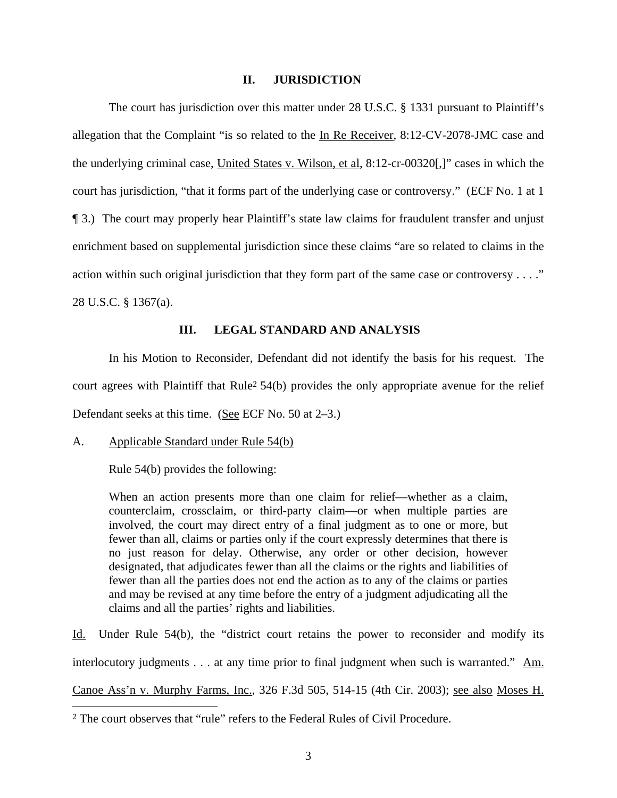## **II. JURISDICTION**

The court has jurisdiction over this matter under 28 U.S.C. § 1331 pursuant to Plaintiff's allegation that the Complaint "is so related to the In Re Receiver, 8:12-CV-2078-JMC case and the underlying criminal case, United States v. Wilson, et al, 8:12-cr-00320[,]" cases in which the court has jurisdiction, "that it forms part of the underlying case or controversy." (ECF No. 1 at 1 ¶ 3.) The court may properly hear Plaintiff's state law claims for fraudulent transfer and unjust enrichment based on supplemental jurisdiction since these claims "are so related to claims in the action within such original jurisdiction that they form part of the same case or controversy . . . ." 28 U.S.C. § 1367(a).

### **III. LEGAL STANDARD AND ANALYSIS**

In his Motion to Reconsider, Defendant did not identify the basis for his request. The court agrees with Plaintiff that Rule<sup>2</sup>  $54(b)$  provides the only appropriate avenue for the relief Defendant seeks at this time. (See ECF No. 50 at 2–3.)

#### A. Applicable Standard under Rule 54(b)

Rule 54(b) provides the following:

When an action presents more than one claim for relief—whether as a claim, counterclaim, crossclaim, or third-party claim—or when multiple parties are involved, the court may direct entry of a final judgment as to one or more, but fewer than all, claims or parties only if the court expressly determines that there is no just reason for delay. Otherwise, any order or other decision, however designated, that adjudicates fewer than all the claims or the rights and liabilities of fewer than all the parties does not end the action as to any of the claims or parties and may be revised at any time before the entry of a judgment adjudicating all the claims and all the parties' rights and liabilities.

Id. Under Rule 54(b), the "district court retains the power to reconsider and modify its interlocutory judgments . . . at any time prior to final judgment when such is warranted." Am. Canoe Ass'n v. Murphy Farms, Inc., 326 F.3d 505, 514-15 (4th Cir. 2003); see also Moses H.

 <sup>2</sup> The court observes that "rule" refers to the Federal Rules of Civil Procedure.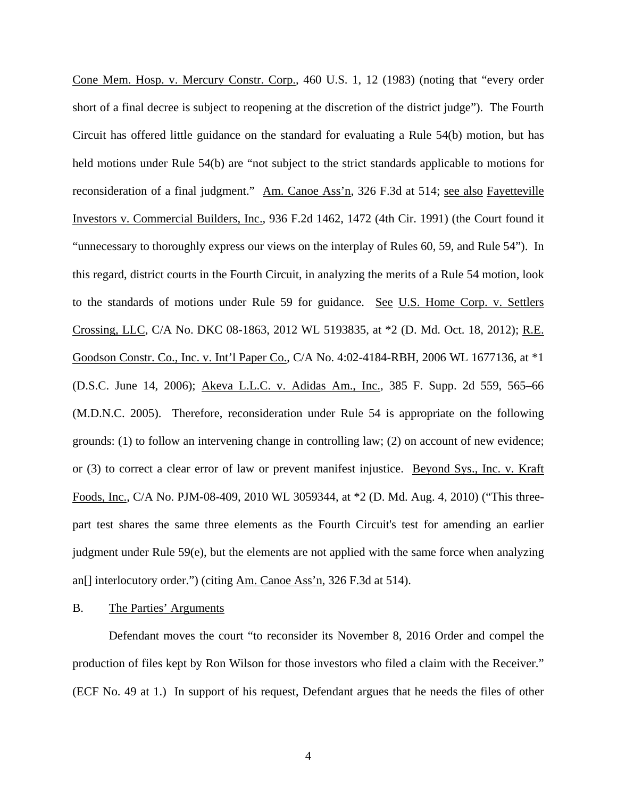Cone Mem. Hosp. v. Mercury Constr. Corp., 460 U.S. 1, 12 (1983) (noting that "every order short of a final decree is subject to reopening at the discretion of the district judge"). The Fourth Circuit has offered little guidance on the standard for evaluating a Rule 54(b) motion, but has held motions under Rule 54(b) are "not subject to the strict standards applicable to motions for reconsideration of a final judgment." Am. Canoe Ass'n, 326 F.3d at 514; see also Fayetteville Investors v. Commercial Builders, Inc., 936 F.2d 1462, 1472 (4th Cir. 1991) (the Court found it "unnecessary to thoroughly express our views on the interplay of Rules 60, 59, and Rule 54"). In this regard, district courts in the Fourth Circuit, in analyzing the merits of a Rule 54 motion, look to the standards of motions under Rule 59 for guidance. See U.S. Home Corp. v. Settlers Crossing, LLC, C/A No. DKC 08-1863, 2012 WL 5193835, at \*2 (D. Md. Oct. 18, 2012); R.E. Goodson Constr. Co., Inc. v. Int'l Paper Co., C/A No. 4:02-4184-RBH, 2006 WL 1677136, at \*1 (D.S.C. June 14, 2006); Akeva L.L.C. v. Adidas Am., Inc., 385 F. Supp. 2d 559, 565–66 (M.D.N.C. 2005). Therefore, reconsideration under Rule 54 is appropriate on the following grounds: (1) to follow an intervening change in controlling law; (2) on account of new evidence; or (3) to correct a clear error of law or prevent manifest injustice. Beyond Sys., Inc. v. Kraft Foods, Inc., C/A No. PJM-08-409, 2010 WL 3059344, at \*2 (D. Md. Aug. 4, 2010) ("This threepart test shares the same three elements as the Fourth Circuit's test for amending an earlier judgment under Rule 59(e), but the elements are not applied with the same force when analyzing an<sup>[]</sup> interlocutory order.") (citing Am. Canoe Ass'n, 326 F.3d at 514).

## B. The Parties' Arguments

Defendant moves the court "to reconsider its November 8, 2016 Order and compel the production of files kept by Ron Wilson for those investors who filed a claim with the Receiver." (ECF No. 49 at 1.) In support of his request, Defendant argues that he needs the files of other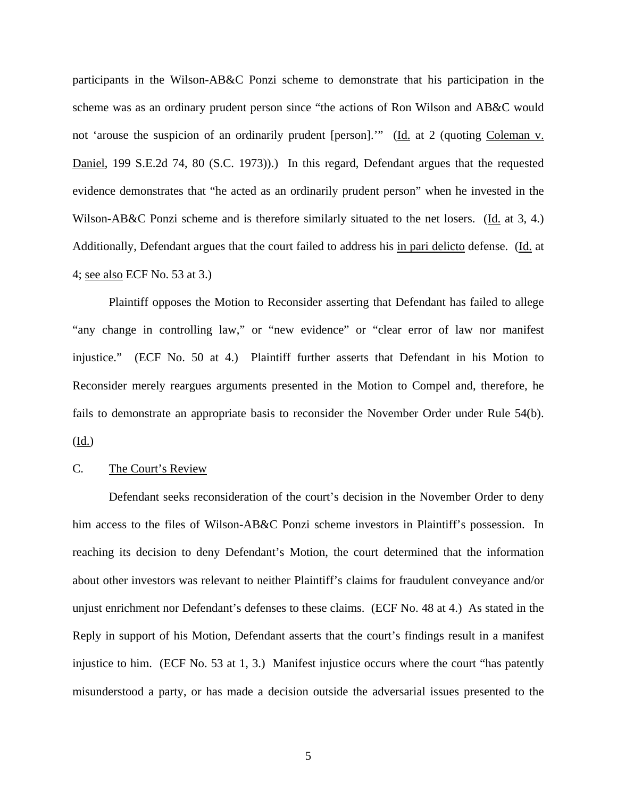participants in the Wilson-AB&C Ponzi scheme to demonstrate that his participation in the scheme was as an ordinary prudent person since "the actions of Ron Wilson and AB&C would not 'arouse the suspicion of an ordinarily prudent [person].'" (Id. at 2 (quoting Coleman v. Daniel, 199 S.E.2d 74, 80 (S.C. 1973)).) In this regard, Defendant argues that the requested evidence demonstrates that "he acted as an ordinarily prudent person" when he invested in the Wilson-AB&C Ponzi scheme and is therefore similarly situated to the net losers. (Id. at 3, 4.) Additionally, Defendant argues that the court failed to address his in pari delicto defense. (Id. at 4; see also ECF No. 53 at 3.)

Plaintiff opposes the Motion to Reconsider asserting that Defendant has failed to allege "any change in controlling law," or "new evidence" or "clear error of law nor manifest injustice." (ECF No. 50 at 4.) Plaintiff further asserts that Defendant in his Motion to Reconsider merely reargues arguments presented in the Motion to Compel and, therefore, he fails to demonstrate an appropriate basis to reconsider the November Order under Rule 54(b). (Id.)

#### C. The Court's Review

Defendant seeks reconsideration of the court's decision in the November Order to deny him access to the files of Wilson-AB&C Ponzi scheme investors in Plaintiff's possession. In reaching its decision to deny Defendant's Motion, the court determined that the information about other investors was relevant to neither Plaintiff's claims for fraudulent conveyance and/or unjust enrichment nor Defendant's defenses to these claims. (ECF No. 48 at 4.) As stated in the Reply in support of his Motion, Defendant asserts that the court's findings result in a manifest injustice to him. (ECF No. 53 at 1, 3.) Manifest injustice occurs where the court "has patently misunderstood a party, or has made a decision outside the adversarial issues presented to the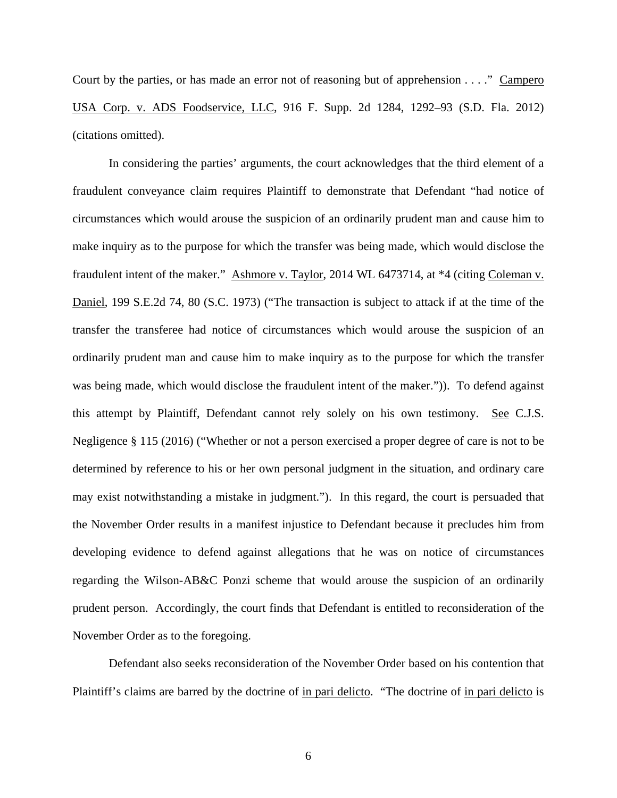Court by the parties, or has made an error not of reasoning but of apprehension . . . ." Campero USA Corp. v. ADS Foodservice, LLC, 916 F. Supp. 2d 1284, 1292–93 (S.D. Fla. 2012) (citations omitted).

In considering the parties' arguments, the court acknowledges that the third element of a fraudulent conveyance claim requires Plaintiff to demonstrate that Defendant "had notice of circumstances which would arouse the suspicion of an ordinarily prudent man and cause him to make inquiry as to the purpose for which the transfer was being made, which would disclose the fraudulent intent of the maker." Ashmore v. Taylor, 2014 WL 6473714, at \*4 (citing Coleman v. Daniel, 199 S.E.2d 74, 80 (S.C. 1973) ("The transaction is subject to attack if at the time of the transfer the transferee had notice of circumstances which would arouse the suspicion of an ordinarily prudent man and cause him to make inquiry as to the purpose for which the transfer was being made, which would disclose the fraudulent intent of the maker.")). To defend against this attempt by Plaintiff, Defendant cannot rely solely on his own testimony. See C.J.S. Negligence § 115 (2016) ("Whether or not a person exercised a proper degree of care is not to be determined by reference to his or her own personal judgment in the situation, and ordinary care may exist notwithstanding a mistake in judgment."). In this regard, the court is persuaded that the November Order results in a manifest injustice to Defendant because it precludes him from developing evidence to defend against allegations that he was on notice of circumstances regarding the Wilson-AB&C Ponzi scheme that would arouse the suspicion of an ordinarily prudent person. Accordingly, the court finds that Defendant is entitled to reconsideration of the November Order as to the foregoing.

Defendant also seeks reconsideration of the November Order based on his contention that Plaintiff's claims are barred by the doctrine of in pari delicto. "The doctrine of in pari delicto is

6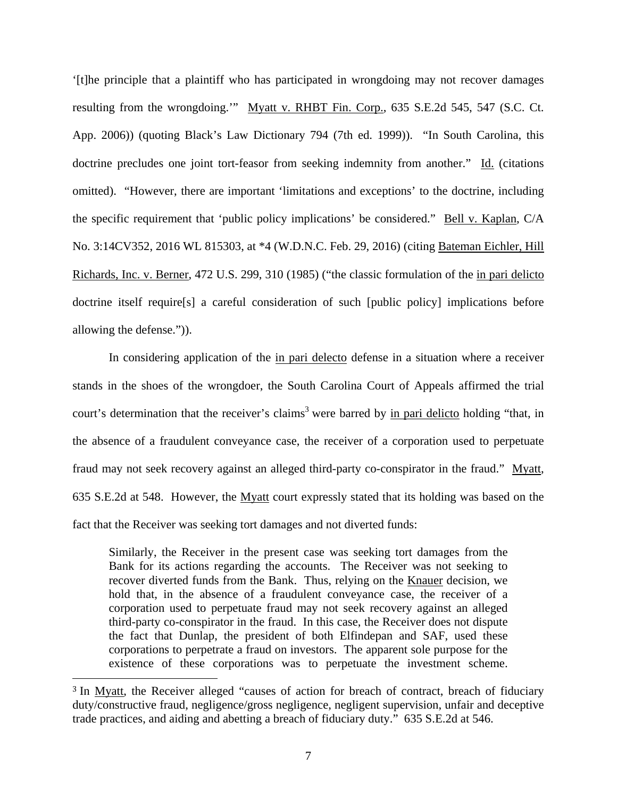'[t]he principle that a plaintiff who has participated in wrongdoing may not recover damages resulting from the wrongdoing.'" Myatt v. RHBT Fin. Corp., 635 S.E.2d 545, 547 (S.C. Ct. App. 2006)) (quoting Black's Law Dictionary 794 (7th ed. 1999)). "In South Carolina, this doctrine precludes one joint tort-feasor from seeking indemnity from another." Id. (citations omitted). "However, there are important 'limitations and exceptions' to the doctrine, including the specific requirement that 'public policy implications' be considered." Bell v. Kaplan, C/A No. 3:14CV352, 2016 WL 815303, at \*4 (W.D.N.C. Feb. 29, 2016) (citing Bateman Eichler, Hill Richards, Inc. v. Berner, 472 U.S. 299, 310 (1985) ("the classic formulation of the in pari delicto doctrine itself require[s] a careful consideration of such [public policy] implications before allowing the defense.")).

In considering application of the in pari delecto defense in a situation where a receiver stands in the shoes of the wrongdoer, the South Carolina Court of Appeals affirmed the trial court's determination that the receiver's claims<sup>3</sup> were barred by in pari delicto holding "that, in the absence of a fraudulent conveyance case, the receiver of a corporation used to perpetuate fraud may not seek recovery against an alleged third-party co-conspirator in the fraud." Myatt, 635 S.E.2d at 548. However, the Myatt court expressly stated that its holding was based on the fact that the Receiver was seeking tort damages and not diverted funds:

Similarly, the Receiver in the present case was seeking tort damages from the Bank for its actions regarding the accounts. The Receiver was not seeking to recover diverted funds from the Bank. Thus, relying on the Knauer decision, we hold that, in the absence of a fraudulent conveyance case, the receiver of a corporation used to perpetuate fraud may not seek recovery against an alleged third-party co-conspirator in the fraud. In this case, the Receiver does not dispute the fact that Dunlap, the president of both Elfindepan and SAF, used these corporations to perpetrate a fraud on investors. The apparent sole purpose for the existence of these corporations was to perpetuate the investment scheme.

 

<sup>&</sup>lt;sup>3</sup> In Myatt, the Receiver alleged "causes of action for breach of contract, breach of fiduciary duty/constructive fraud, negligence/gross negligence, negligent supervision, unfair and deceptive trade practices, and aiding and abetting a breach of fiduciary duty." 635 S.E.2d at 546.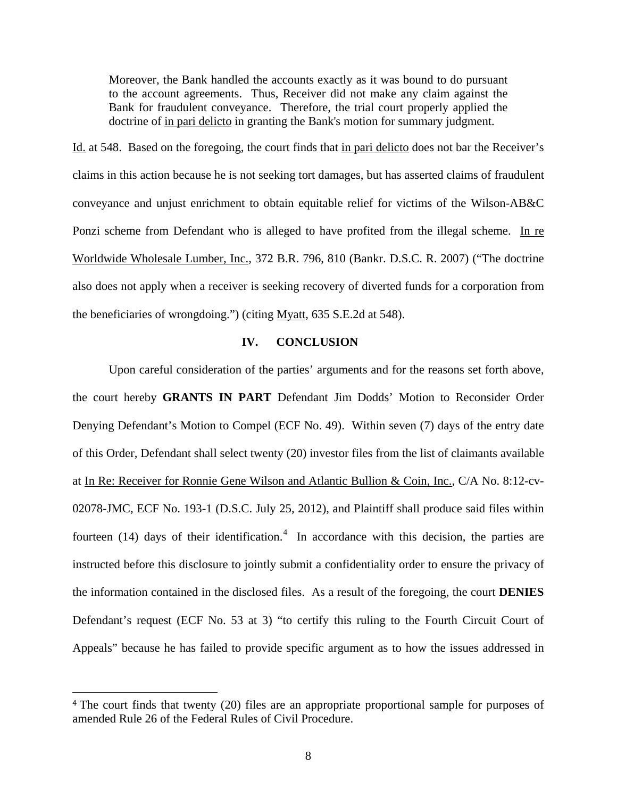Moreover, the Bank handled the accounts exactly as it was bound to do pursuant to the account agreements. Thus, Receiver did not make any claim against the Bank for fraudulent conveyance. Therefore, the trial court properly applied the doctrine of in pari delicto in granting the Bank's motion for summary judgment.

Id. at 548. Based on the foregoing, the court finds that in pari delicto does not bar the Receiver's claims in this action because he is not seeking tort damages, but has asserted claims of fraudulent conveyance and unjust enrichment to obtain equitable relief for victims of the Wilson-AB&C Ponzi scheme from Defendant who is alleged to have profited from the illegal scheme. In re Worldwide Wholesale Lumber, Inc., 372 B.R. 796, 810 (Bankr. D.S.C. R. 2007) ("The doctrine also does not apply when a receiver is seeking recovery of diverted funds for a corporation from the beneficiaries of wrongdoing.") (citing Myatt, 635 S.E.2d at 548). 

#### **IV. CONCLUSION**

Upon careful consideration of the parties' arguments and for the reasons set forth above, the court hereby **GRANTS IN PART** Defendant Jim Dodds' Motion to Reconsider Order Denying Defendant's Motion to Compel (ECF No. 49). Within seven (7) days of the entry date of this Order, Defendant shall select twenty (20) investor files from the list of claimants available at In Re: Receiver for Ronnie Gene Wilson and Atlantic Bullion & Coin, Inc., C/A No. 8:12-cv-02078-JMC, ECF No. 193-1 (D.S.C. July 25, 2012), and Plaintiff shall produce said files within fourteen (14) days of their identification.<sup>4</sup> In accordance with this decision, the parties are instructed before this disclosure to jointly submit a confidentiality order to ensure the privacy of the information contained in the disclosed files. As a result of the foregoing, the court **DENIES** Defendant's request (ECF No. 53 at 3) "to certify this ruling to the Fourth Circuit Court of Appeals" because he has failed to provide specific argument as to how the issues addressed in

 

<sup>&</sup>lt;sup>4</sup> The court finds that twenty (20) files are an appropriate proportional sample for purposes of amended Rule 26 of the Federal Rules of Civil Procedure.